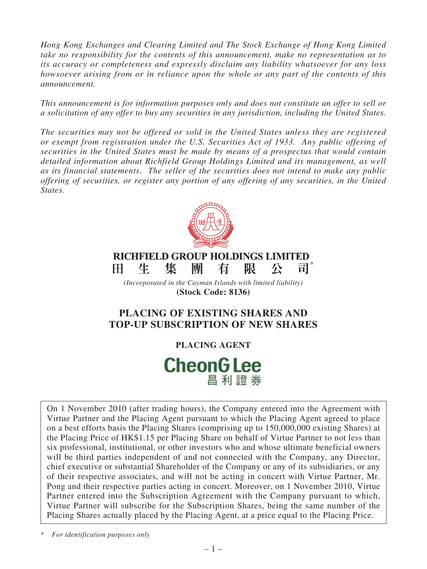*Hong Kong Exchanges and Clearing Limited and The Stock Exchange of Hong Kong Limited take no responsibility for the contents of this announcement, make no representation as to its accuracy or completeness and expressly disclaim any liability whatsoever for any loss howsoever arising from or in reliance upon the whole or any part of the contents of this announcement.*

*This announcement is for information purposes only and does not constitute an offer to sell or a solicitation of any offer to buy any securities in any jurisdiction, including the United States.*

*The securities may not be offered or sold in the United States unless they are registered or exempt from registration under the U.S. Securities Act of 1933. Any public offering of securities in the United States must be made by means of a prospectus that would contain detailed information about Richfield Group Holdings Limited and its management, as well as its financial statements. The seller of the securities does not intend to make any public offering of securities, or register any portion of any offering of any securities, in the United States.*



# **PLACING OF EXISTING SHARES AND TOP-UP SUBSCRIPTION OF NEW SHARES**

**PLACING AGENT**

# **CheonG Lee** 昌利證券

On 1 November 2010 (after trading hours), the Company entered into the Agreement with Virtue Partner and the Placing Agent pursuant to which the Placing Agent agreed to place on a best efforts basis the Placing Shares (comprising up to 150,000,000 existing Shares) at the Placing Price of HK\$1.15 per Placing Share on behalf of Virtue Partner to not less than six professional, institutional, or other investors who and whose ultimate beneficial owners will be third parties independent of and not connected with the Company, any Director, chief executive or substantial Shareholder of the Company or any of its subsidiaries, or any of their respective associates, and will not be acting in concert with Virtue Partner, Mr. Pong and their respective parties acting in concert. Moreover, on 1 November 2010, Virtue Partner entered into the Subscription Agreement with the Company pursuant to which, Virtue Partner will subscribe for the Subscription Shares, being the same number of the Placing Shares actually placed by the Placing Agent, at a price equal to the Placing Price.

\* *For identification purposes only*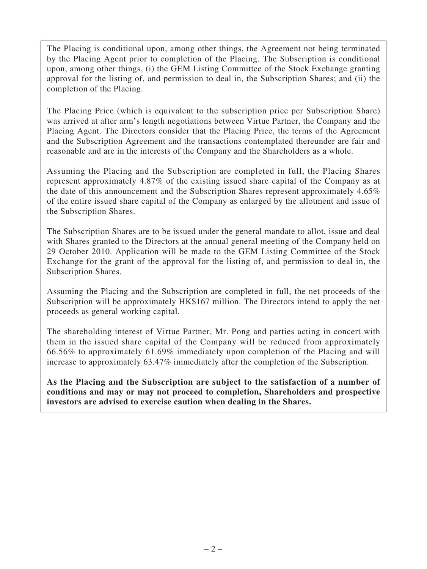The Placing is conditional upon, among other things, the Agreement not being terminated by the Placing Agent prior to completion of the Placing. The Subscription is conditional upon, among other things, (i) the GEM Listing Committee of the Stock Exchange granting approval for the listing of, and permission to deal in, the Subscription Shares; and (ii) the completion of the Placing.

The Placing Price (which is equivalent to the subscription price per Subscription Share) was arrived at after arm's length negotiations between Virtue Partner, the Company and the Placing Agent. The Directors consider that the Placing Price, the terms of the Agreement and the Subscription Agreement and the transactions contemplated thereunder are fair and reasonable and are in the interests of the Company and the Shareholders as a whole.

Assuming the Placing and the Subscription are completed in full, the Placing Shares represent approximately 4.87% of the existing issued share capital of the Company as at the date of this announcement and the Subscription Shares represent approximately 4.65% of the entire issued share capital of the Company as enlarged by the allotment and issue of the Subscription Shares.

The Subscription Shares are to be issued under the general mandate to allot, issue and deal with Shares granted to the Directors at the annual general meeting of the Company held on 29 October 2010. Application will be made to the GEM Listing Committee of the Stock Exchange for the grant of the approval for the listing of, and permission to deal in, the Subscription Shares.

Assuming the Placing and the Subscription are completed in full, the net proceeds of the Subscription will be approximately HK\$167 million. The Directors intend to apply the net proceeds as general working capital.

The shareholding interest of Virtue Partner, Mr. Pong and parties acting in concert with them in the issued share capital of the Company will be reduced from approximately 66.56% to approximately 61.69% immediately upon completion of the Placing and will increase to approximately 63.47% immediately after the completion of the Subscription.

**As the Placing and the Subscription are subject to the satisfaction of a number of conditions and may or may not proceed to completion, Shareholders and prospective investors are advised to exercise caution when dealing in the Shares.**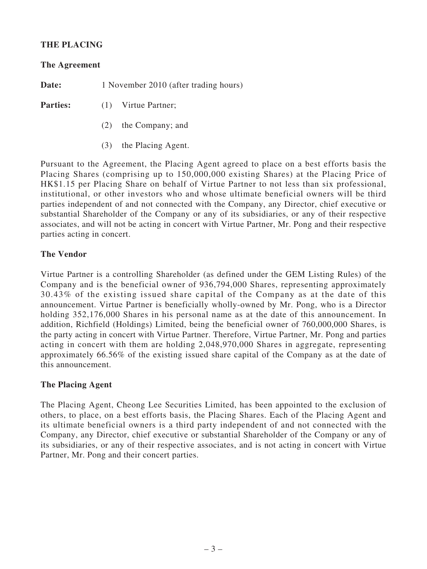# **THE PLACING**

#### **The Agreement**

**Date:** 1 November 2010 (after trading hours)

**Parties:** (1) Virtue Partner;

- (2) the Company; and
- (3) the Placing Agent.

Pursuant to the Agreement, the Placing Agent agreed to place on a best efforts basis the Placing Shares (comprising up to 150,000,000 existing Shares) at the Placing Price of HK\$1.15 per Placing Share on behalf of Virtue Partner to not less than six professional, institutional, or other investors who and whose ultimate beneficial owners will be third parties independent of and not connected with the Company, any Director, chief executive or substantial Shareholder of the Company or any of its subsidiaries, or any of their respective associates, and will not be acting in concert with Virtue Partner, Mr. Pong and their respective parties acting in concert.

## **The Vendor**

Virtue Partner is a controlling Shareholder (as defined under the GEM Listing Rules) of the Company and is the beneficial owner of 936,794,000 Shares, representing approximately 30.43% of the existing issued share capital of the Company as at the date of this announcement. Virtue Partner is beneficially wholly-owned by Mr. Pong, who is a Director holding 352,176,000 Shares in his personal name as at the date of this announcement. In addition, Richfield (Holdings) Limited, being the beneficial owner of 760,000,000 Shares, is the party acting in concert with Virtue Partner. Therefore, Virtue Partner, Mr. Pong and parties acting in concert with them are holding 2,048,970,000 Shares in aggregate, representing approximately 66.56% of the existing issued share capital of the Company as at the date of this announcement.

#### **The Placing Agent**

The Placing Agent, Cheong Lee Securities Limited, has been appointed to the exclusion of others, to place, on a best efforts basis, the Placing Shares. Each of the Placing Agent and its ultimate beneficial owners is a third party independent of and not connected with the Company, any Director, chief executive or substantial Shareholder of the Company or any of its subsidiaries, or any of their respective associates, and is not acting in concert with Virtue Partner, Mr. Pong and their concert parties.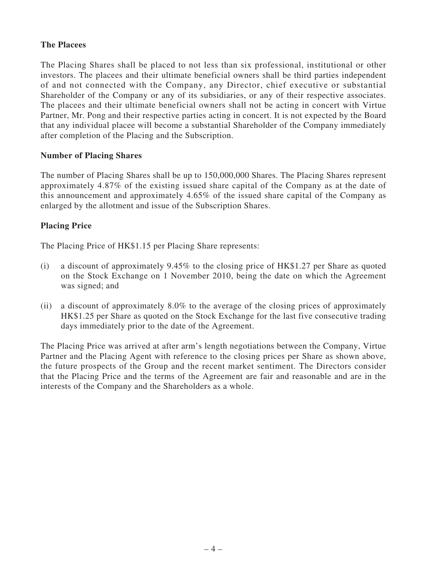## **The Placees**

The Placing Shares shall be placed to not less than six professional, institutional or other investors. The placees and their ultimate beneficial owners shall be third parties independent of and not connected with the Company, any Director, chief executive or substantial Shareholder of the Company or any of its subsidiaries, or any of their respective associates. The placees and their ultimate beneficial owners shall not be acting in concert with Virtue Partner, Mr. Pong and their respective parties acting in concert. It is not expected by the Board that any individual placee will become a substantial Shareholder of the Company immediately after completion of the Placing and the Subscription.

## **Number of Placing Shares**

The number of Placing Shares shall be up to 150,000,000 Shares. The Placing Shares represent approximately 4.87% of the existing issued share capital of the Company as at the date of this announcement and approximately 4.65% of the issued share capital of the Company as enlarged by the allotment and issue of the Subscription Shares.

## **Placing Price**

The Placing Price of HK\$1.15 per Placing Share represents:

- (i) a discount of approximately 9.45% to the closing price of HK\$1.27 per Share as quoted on the Stock Exchange on 1 November 2010, being the date on which the Agreement was signed; and
- (ii) a discount of approximately 8.0% to the average of the closing prices of approximately HK\$1.25 per Share as quoted on the Stock Exchange for the last five consecutive trading days immediately prior to the date of the Agreement.

The Placing Price was arrived at after arm's length negotiations between the Company, Virtue Partner and the Placing Agent with reference to the closing prices per Share as shown above, the future prospects of the Group and the recent market sentiment. The Directors consider that the Placing Price and the terms of the Agreement are fair and reasonable and are in the interests of the Company and the Shareholders as a whole.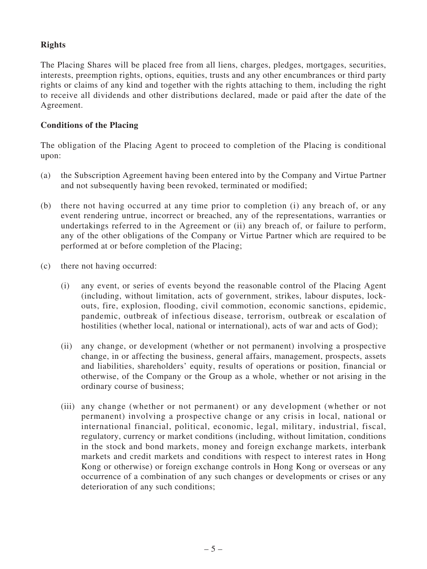# **Rights**

The Placing Shares will be placed free from all liens, charges, pledges, mortgages, securities, interests, preemption rights, options, equities, trusts and any other encumbrances or third party rights or claims of any kind and together with the rights attaching to them, including the right to receive all dividends and other distributions declared, made or paid after the date of the Agreement.

# **Conditions of the Placing**

The obligation of the Placing Agent to proceed to completion of the Placing is conditional upon:

- (a) the Subscription Agreement having been entered into by the Company and Virtue Partner and not subsequently having been revoked, terminated or modified;
- (b) there not having occurred at any time prior to completion (i) any breach of, or any event rendering untrue, incorrect or breached, any of the representations, warranties or undertakings referred to in the Agreement or (ii) any breach of, or failure to perform, any of the other obligations of the Company or Virtue Partner which are required to be performed at or before completion of the Placing;
- (c) there not having occurred:
	- (i) any event, or series of events beyond the reasonable control of the Placing Agent (including, without limitation, acts of government, strikes, labour disputes, lockouts, fire, explosion, flooding, civil commotion, economic sanctions, epidemic, pandemic, outbreak of infectious disease, terrorism, outbreak or escalation of hostilities (whether local, national or international), acts of war and acts of God);
	- (ii) any change, or development (whether or not permanent) involving a prospective change, in or affecting the business, general affairs, management, prospects, assets and liabilities, shareholders' equity, results of operations or position, financial or otherwise, of the Company or the Group as a whole, whether or not arising in the ordinary course of business;
	- (iii) any change (whether or not permanent) or any development (whether or not permanent) involving a prospective change or any crisis in local, national or international financial, political, economic, legal, military, industrial, fiscal, regulatory, currency or market conditions (including, without limitation, conditions in the stock and bond markets, money and foreign exchange markets, interbank markets and credit markets and conditions with respect to interest rates in Hong Kong or otherwise) or foreign exchange controls in Hong Kong or overseas or any occurrence of a combination of any such changes or developments or crises or any deterioration of any such conditions;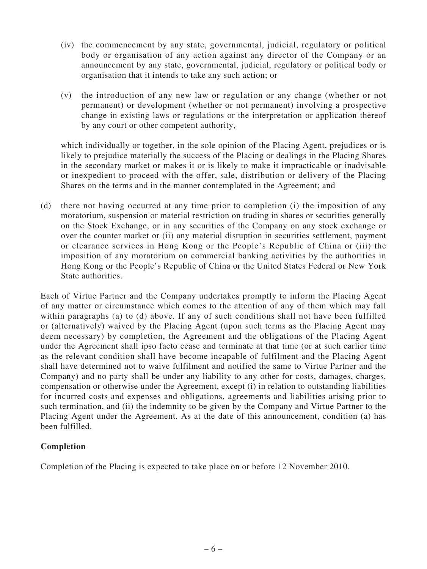- (iv) the commencement by any state, governmental, judicial, regulatory or political body or organisation of any action against any director of the Company or an announcement by any state, governmental, judicial, regulatory or political body or organisation that it intends to take any such action; or
- (v) the introduction of any new law or regulation or any change (whether or not permanent) or development (whether or not permanent) involving a prospective change in existing laws or regulations or the interpretation or application thereof by any court or other competent authority,

which individually or together, in the sole opinion of the Placing Agent, prejudices or is likely to prejudice materially the success of the Placing or dealings in the Placing Shares in the secondary market or makes it or is likely to make it impracticable or inadvisable or inexpedient to proceed with the offer, sale, distribution or delivery of the Placing Shares on the terms and in the manner contemplated in the Agreement; and

(d) there not having occurred at any time prior to completion (i) the imposition of any moratorium, suspension or material restriction on trading in shares or securities generally on the Stock Exchange, or in any securities of the Company on any stock exchange or over the counter market or (ii) any material disruption in securities settlement, payment or clearance services in Hong Kong or the People's Republic of China or (iii) the imposition of any moratorium on commercial banking activities by the authorities in Hong Kong or the People's Republic of China or the United States Federal or New York State authorities.

Each of Virtue Partner and the Company undertakes promptly to inform the Placing Agent of any matter or circumstance which comes to the attention of any of them which may fall within paragraphs (a) to (d) above. If any of such conditions shall not have been fulfilled or (alternatively) waived by the Placing Agent (upon such terms as the Placing Agent may deem necessary) by completion, the Agreement and the obligations of the Placing Agent under the Agreement shall ipso facto cease and terminate at that time (or at such earlier time as the relevant condition shall have become incapable of fulfilment and the Placing Agent shall have determined not to waive fulfilment and notified the same to Virtue Partner and the Company) and no party shall be under any liability to any other for costs, damages, charges, compensation or otherwise under the Agreement, except (i) in relation to outstanding liabilities for incurred costs and expenses and obligations, agreements and liabilities arising prior to such termination, and (ii) the indemnity to be given by the Company and Virtue Partner to the Placing Agent under the Agreement. As at the date of this announcement, condition (a) has been fulfilled.

## **Completion**

Completion of the Placing is expected to take place on or before 12 November 2010.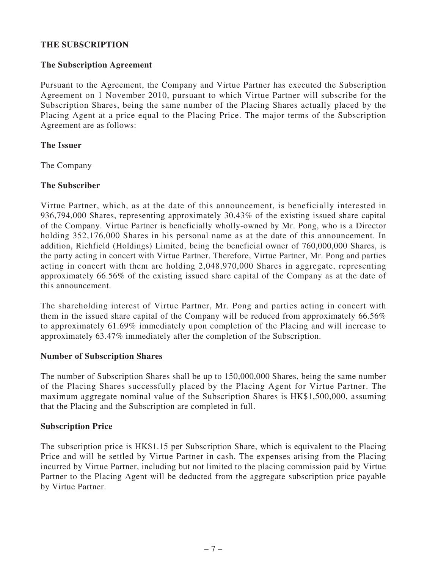## **THE SUBSCRIPTION**

## **The Subscription Agreement**

Pursuant to the Agreement, the Company and Virtue Partner has executed the Subscription Agreement on 1 November 2010, pursuant to which Virtue Partner will subscribe for the Subscription Shares, being the same number of the Placing Shares actually placed by the Placing Agent at a price equal to the Placing Price. The major terms of the Subscription Agreement are as follows:

## **The Issuer**

The Company

## **The Subscriber**

Virtue Partner, which, as at the date of this announcement, is beneficially interested in 936,794,000 Shares, representing approximately 30.43% of the existing issued share capital of the Company. Virtue Partner is beneficially wholly-owned by Mr. Pong, who is a Director holding 352,176,000 Shares in his personal name as at the date of this announcement. In addition, Richfield (Holdings) Limited, being the beneficial owner of 760,000,000 Shares, is the party acting in concert with Virtue Partner. Therefore, Virtue Partner, Mr. Pong and parties acting in concert with them are holding 2,048,970,000 Shares in aggregate, representing approximately 66.56% of the existing issued share capital of the Company as at the date of this announcement.

The shareholding interest of Virtue Partner, Mr. Pong and parties acting in concert with them in the issued share capital of the Company will be reduced from approximately 66.56% to approximately 61.69% immediately upon completion of the Placing and will increase to approximately 63.47% immediately after the completion of the Subscription.

#### **Number of Subscription Shares**

The number of Subscription Shares shall be up to 150,000,000 Shares, being the same number of the Placing Shares successfully placed by the Placing Agent for Virtue Partner. The maximum aggregate nominal value of the Subscription Shares is HK\$1,500,000, assuming that the Placing and the Subscription are completed in full.

#### **Subscription Price**

The subscription price is HK\$1.15 per Subscription Share, which is equivalent to the Placing Price and will be settled by Virtue Partner in cash. The expenses arising from the Placing incurred by Virtue Partner, including but not limited to the placing commission paid by Virtue Partner to the Placing Agent will be deducted from the aggregate subscription price payable by Virtue Partner.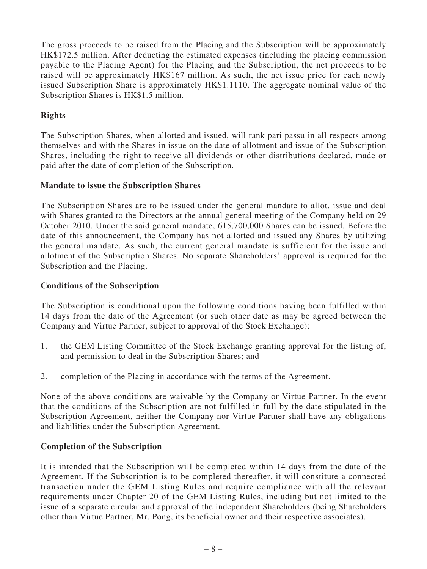The gross proceeds to be raised from the Placing and the Subscription will be approximately HK\$172.5 million. After deducting the estimated expenses (including the placing commission payable to the Placing Agent) for the Placing and the Subscription, the net proceeds to be raised will be approximately HK\$167 million. As such, the net issue price for each newly issued Subscription Share is approximately HK\$1.1110. The aggregate nominal value of the Subscription Shares is HK\$1.5 million.

# **Rights**

The Subscription Shares, when allotted and issued, will rank pari passu in all respects among themselves and with the Shares in issue on the date of allotment and issue of the Subscription Shares, including the right to receive all dividends or other distributions declared, made or paid after the date of completion of the Subscription.

## **Mandate to issue the Subscription Shares**

The Subscription Shares are to be issued under the general mandate to allot, issue and deal with Shares granted to the Directors at the annual general meeting of the Company held on 29 October 2010. Under the said general mandate, 615,700,000 Shares can be issued. Before the date of this announcement, the Company has not allotted and issued any Shares by utilizing the general mandate. As such, the current general mandate is sufficient for the issue and allotment of the Subscription Shares. No separate Shareholders' approval is required for the Subscription and the Placing.

#### **Conditions of the Subscription**

The Subscription is conditional upon the following conditions having been fulfilled within 14 days from the date of the Agreement (or such other date as may be agreed between the Company and Virtue Partner, subject to approval of the Stock Exchange):

- 1. the GEM Listing Committee of the Stock Exchange granting approval for the listing of, and permission to deal in the Subscription Shares; and
- 2. completion of the Placing in accordance with the terms of the Agreement.

None of the above conditions are waivable by the Company or Virtue Partner. In the event that the conditions of the Subscription are not fulfilled in full by the date stipulated in the Subscription Agreement, neither the Company nor Virtue Partner shall have any obligations and liabilities under the Subscription Agreement.

## **Completion of the Subscription**

It is intended that the Subscription will be completed within 14 days from the date of the Agreement. If the Subscription is to be completed thereafter, it will constitute a connected transaction under the GEM Listing Rules and require compliance with all the relevant requirements under Chapter 20 of the GEM Listing Rules, including but not limited to the issue of a separate circular and approval of the independent Shareholders (being Shareholders other than Virtue Partner, Mr. Pong, its beneficial owner and their respective associates).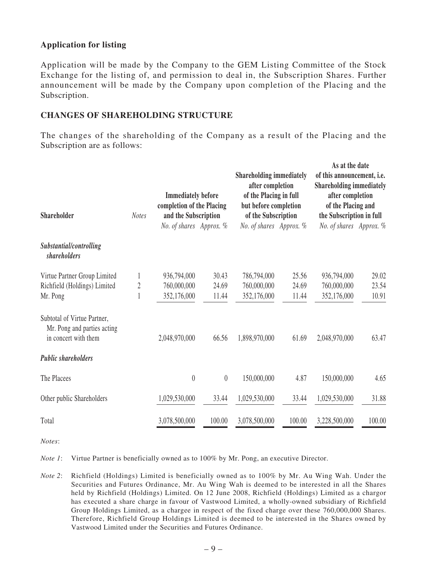## **Application for listing**

Application will be made by the Company to the GEM Listing Committee of the Stock Exchange for the listing of, and permission to deal in, the Subscription Shares. Further announcement will be made by the Company upon completion of the Placing and the Subscription.

#### **CHANGES OF SHAREHOLDING STRUCTURE**

The changes of the shareholding of the Company as a result of the Placing and the Subscription are as follows:

| <b>Shareholder</b>                                                                 | <b>Notes</b> | <b>Immediately before</b><br>completion of the Placing<br>and the Subscription |          | <b>Shareholding immediately</b><br>after completion<br>of the Placing in full<br>but before completion<br>of the Subscription |        | As at the date<br>of this announcement, i.e.<br><b>Shareholding immediately</b><br>after completion<br>of the Placing and<br>the Subscription in full |        |
|------------------------------------------------------------------------------------|--------------|--------------------------------------------------------------------------------|----------|-------------------------------------------------------------------------------------------------------------------------------|--------|-------------------------------------------------------------------------------------------------------------------------------------------------------|--------|
|                                                                                    |              | No. of shares Approx. %                                                        |          | No. of shares Approx. %                                                                                                       |        | No. of shares Approx. %                                                                                                                               |        |
| Substantial/controlling<br><i>shareholders</i>                                     |              |                                                                                |          |                                                                                                                               |        |                                                                                                                                                       |        |
| Virtue Partner Group Limited                                                       |              | 936,794,000                                                                    | 30.43    | 786,794,000                                                                                                                   | 25.56  | 936,794,000                                                                                                                                           | 29.02  |
| Richfield (Holdings) Limited                                                       | 2            | 760,000,000                                                                    | 24.69    | 760,000,000                                                                                                                   | 24.69  | 760,000,000                                                                                                                                           | 23.54  |
| Mr. Pong                                                                           |              | 352,176,000                                                                    | 11.44    | 352,176,000                                                                                                                   | 11.44  | 352,176,000                                                                                                                                           | 10.91  |
| Subtotal of Virtue Partner,<br>Mr. Pong and parties acting<br>in concert with them |              | 2,048,970,000                                                                  | 66.56    | 1,898,970,000                                                                                                                 | 61.69  | 2,048,970,000                                                                                                                                         | 63.47  |
| <b>Public shareholders</b>                                                         |              |                                                                                |          |                                                                                                                               |        |                                                                                                                                                       |        |
| The Placees                                                                        |              | $\theta$                                                                       | $\theta$ | 150,000,000                                                                                                                   | 4.87   | 150,000,000                                                                                                                                           | 4.65   |
| Other public Shareholders                                                          |              | 1,029,530,000                                                                  | 33.44    | 1,029,530,000                                                                                                                 | 33.44  | 1,029,530,000                                                                                                                                         | 31.88  |
| Total                                                                              |              | 3,078,500,000                                                                  | 100.00   | 3,078,500,000                                                                                                                 | 100.00 | 3,228,500,000                                                                                                                                         | 100.00 |

*Notes*:

*Note 1*: Virtue Partner is beneficially owned as to 100% by Mr. Pong, an executive Director.

*Note 2*: Richfield (Holdings) Limited is beneficially owned as to 100% by Mr. Au Wing Wah. Under the Securities and Futures Ordinance, Mr. Au Wing Wah is deemed to be interested in all the Shares held by Richfield (Holdings) Limited. On 12 June 2008, Richfield (Holdings) Limited as a chargor has executed a share charge in favour of Vastwood Limited, a wholly-owned subsidiary of Richfield Group Holdings Limited, as a chargee in respect of the fixed charge over these 760,000,000 Shares. Therefore, Richfield Group Holdings Limited is deemed to be interested in the Shares owned by Vastwood Limited under the Securities and Futures Ordinance.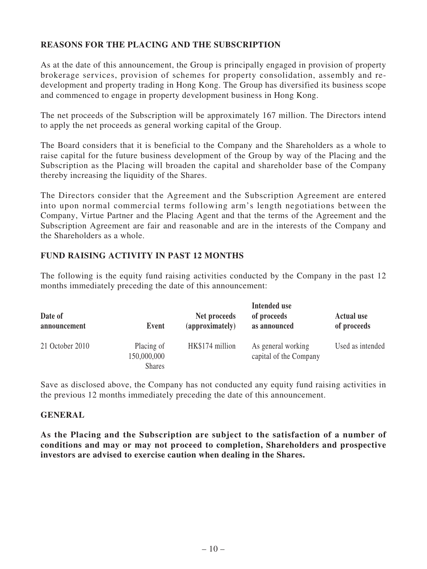# **REASONS FOR THE PLACING AND THE SUBSCRIPTION**

As at the date of this announcement, the Group is principally engaged in provision of property brokerage services, provision of schemes for property consolidation, assembly and redevelopment and property trading in Hong Kong. The Group has diversified its business scope and commenced to engage in property development business in Hong Kong.

The net proceeds of the Subscription will be approximately 167 million. The Directors intend to apply the net proceeds as general working capital of the Group.

The Board considers that it is beneficial to the Company and the Shareholders as a whole to raise capital for the future business development of the Group by way of the Placing and the Subscription as the Placing will broaden the capital and shareholder base of the Company thereby increasing the liquidity of the Shares.

The Directors consider that the Agreement and the Subscription Agreement are entered into upon normal commercial terms following arm's length negotiations between the Company, Virtue Partner and the Placing Agent and that the terms of the Agreement and the Subscription Agreement are fair and reasonable and are in the interests of the Company and the Shareholders as a whole.

## **FUND RAISING ACTIVITY IN PAST 12 MONTHS**

The following is the equity fund raising activities conducted by the Company in the past 12 months immediately preceding the date of this announcement:

| Date of<br>announcement | Event                                      | Net proceeds<br>(approximately) | Intended use<br>of proceeds<br>as announced  | <b>Actual use</b><br>of proceeds |
|-------------------------|--------------------------------------------|---------------------------------|----------------------------------------------|----------------------------------|
| 21 October 2010         | Placing of<br>150,000,000<br><b>Shares</b> | HK\$174 million                 | As general working<br>capital of the Company | Used as intended                 |

Save as disclosed above, the Company has not conducted any equity fund raising activities in the previous 12 months immediately preceding the date of this announcement.

#### **GENERAL**

**As the Placing and the Subscription are subject to the satisfaction of a number of conditions and may or may not proceed to completion, Shareholders and prospective investors are advised to exercise caution when dealing in the Shares.**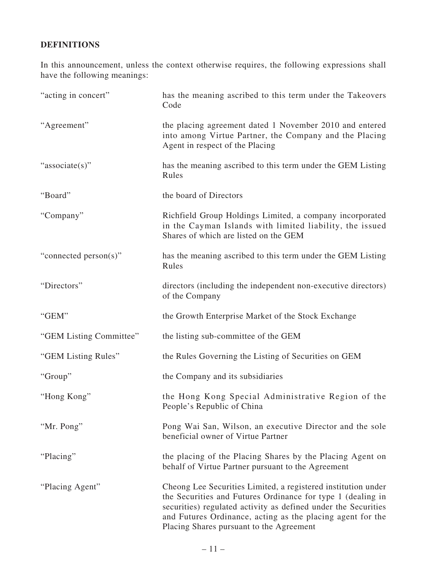# **DEFINITIONS**

In this announcement, unless the context otherwise requires, the following expressions shall have the following meanings:

| "acting in concert"     | has the meaning ascribed to this term under the Takeovers<br>Code                                                                                                                                                                                                                                        |
|-------------------------|----------------------------------------------------------------------------------------------------------------------------------------------------------------------------------------------------------------------------------------------------------------------------------------------------------|
| "Agreement"             | the placing agreement dated 1 November 2010 and entered<br>into among Virtue Partner, the Company and the Placing<br>Agent in respect of the Placing                                                                                                                                                     |
| "associate(s)"          | has the meaning ascribed to this term under the GEM Listing<br>Rules                                                                                                                                                                                                                                     |
| "Board"                 | the board of Directors                                                                                                                                                                                                                                                                                   |
| "Company"               | Richfield Group Holdings Limited, a company incorporated<br>in the Cayman Islands with limited liability, the issued<br>Shares of which are listed on the GEM                                                                                                                                            |
| "connected person(s)"   | has the meaning ascribed to this term under the GEM Listing<br>Rules                                                                                                                                                                                                                                     |
| "Directors"             | directors (including the independent non-executive directors)<br>of the Company                                                                                                                                                                                                                          |
| "GEM"                   | the Growth Enterprise Market of the Stock Exchange                                                                                                                                                                                                                                                       |
| "GEM Listing Committee" | the listing sub-committee of the GEM                                                                                                                                                                                                                                                                     |
| "GEM Listing Rules"     | the Rules Governing the Listing of Securities on GEM                                                                                                                                                                                                                                                     |
| "Group"                 | the Company and its subsidiaries                                                                                                                                                                                                                                                                         |
| "Hong Kong"             | the Hong Kong Special Administrative Region of the<br>People's Republic of China                                                                                                                                                                                                                         |
| "Mr. Pong"              | Pong Wai San, Wilson, an executive Director and the sole<br>beneficial owner of Virtue Partner                                                                                                                                                                                                           |
| "Placing"               | the placing of the Placing Shares by the Placing Agent on<br>behalf of Virtue Partner pursuant to the Agreement                                                                                                                                                                                          |
| "Placing Agent"         | Cheong Lee Securities Limited, a registered institution under<br>the Securities and Futures Ordinance for type 1 (dealing in<br>securities) regulated activity as defined under the Securities<br>and Futures Ordinance, acting as the placing agent for the<br>Placing Shares pursuant to the Agreement |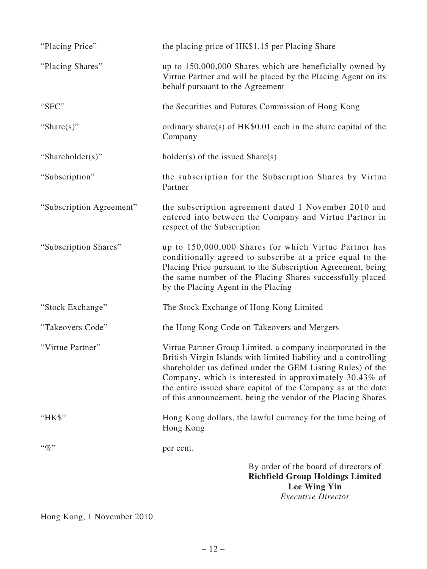| "Placing Price"          | the placing price of HK\$1.15 per Placing Share                                                                                                                                                                                                                                                                                                                                           |
|--------------------------|-------------------------------------------------------------------------------------------------------------------------------------------------------------------------------------------------------------------------------------------------------------------------------------------------------------------------------------------------------------------------------------------|
| "Placing Shares"         | up to 150,000,000 Shares which are beneficially owned by<br>Virtue Partner and will be placed by the Placing Agent on its<br>behalf pursuant to the Agreement                                                                                                                                                                                                                             |
| "SFC"                    | the Securities and Futures Commission of Hong Kong                                                                                                                                                                                                                                                                                                                                        |
| "Share $(s)$ "           | ordinary share(s) of HK\$0.01 each in the share capital of the<br>Company                                                                                                                                                                                                                                                                                                                 |
| "Shareholder(s)"         | $holder(s)$ of the issued $Share(s)$                                                                                                                                                                                                                                                                                                                                                      |
| "Subscription"           | the subscription for the Subscription Shares by Virtue<br>Partner                                                                                                                                                                                                                                                                                                                         |
| "Subscription Agreement" | the subscription agreement dated 1 November 2010 and<br>entered into between the Company and Virtue Partner in<br>respect of the Subscription                                                                                                                                                                                                                                             |
| "Subscription Shares"    | up to 150,000,000 Shares for which Virtue Partner has<br>conditionally agreed to subscribe at a price equal to the<br>Placing Price pursuant to the Subscription Agreement, being<br>the same number of the Placing Shares successfully placed<br>by the Placing Agent in the Placing                                                                                                     |
| "Stock Exchange"         | The Stock Exchange of Hong Kong Limited                                                                                                                                                                                                                                                                                                                                                   |
| "Takeovers Code"         | the Hong Kong Code on Takeovers and Mergers                                                                                                                                                                                                                                                                                                                                               |
| "Virtue Partner"         | Virtue Partner Group Limited, a company incorporated in the<br>British Virgin Islands with limited liability and a controlling<br>shareholder (as defined under the GEM Listing Rules) of the<br>Company, which is interested in approximately 30.43% of<br>the entire issued share capital of the Company as at the date<br>of this announcement, being the vendor of the Placing Shares |
| "HK\$"                   | Hong Kong dollars, the lawful currency for the time being of<br>Hong Kong                                                                                                                                                                                                                                                                                                                 |
| $``\%"$                  | per cent.                                                                                                                                                                                                                                                                                                                                                                                 |
|                          | By order of the board of directors of<br><b>Richfield Group Holdings Limited</b><br>Lee Wing Yin<br><b>Executive Director</b>                                                                                                                                                                                                                                                             |

Hong Kong, 1 November 2010